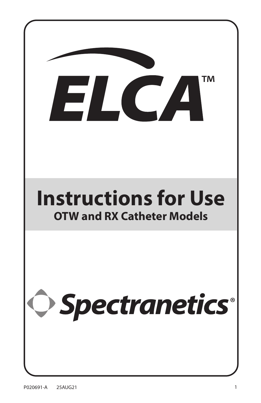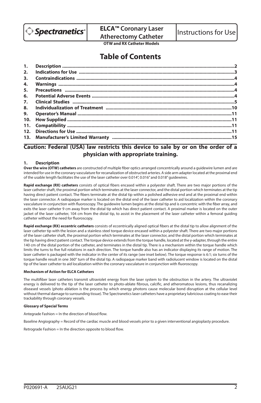

**OTW and RX Catheter Models**

# **Table of Contents**

| 4. |  |
|----|--|
|    |  |
|    |  |
|    |  |
|    |  |
| 9. |  |
|    |  |
|    |  |
|    |  |
|    |  |
|    |  |

# **Caution: Federal (USA) law restricts this device to sale by or on the order of a physician with appropriate training.**

## **1. Description**

**Over the wire (OTW) catheters** are constructed of multiple fiber optics arranged concentrically around a guidewire lumen and are intended for use in the coronary vasculature for recanalization of obstructed arteries. A side arm adapter located at the proximal end of the usable length facilitates the use of the laser catheter over 0.014", 0.016" and 0.018" guidewires.

**Rapid exchange (RX) catheters** consists of optical fibers encased within a polyester shaft. There are two major portions of the laser catheter shaft, the proximal portion which terminates at the laser connector, and the distal portion which terminates at the tip having direct patient contact. The fibers terminate at the distal tip within a polished adhesive end and at the proximal end within the laser connector. A radiopaque marker is located on the distal end of the laser catheter to aid localization within the coronary vasculature in conjunction with fluoroscopy. The guidewire lumen begins at the distal tip and is concentric with the fiber array, and exits the laser catheter 9 cm away from the distal tip which has direct patient contact. A proximal marker is located on the outer jacket of the laser catheter, 104 cm from the distal tip, to assist in the placement of the laser catheter within a femoral guiding catheter without the need for fluoroscopy.

**Rapid exchange (RX) eccentric catheters** consists of eccentrically aligned optical fibers at the distal tip to allow alignment of the laser catheter tip with the lesion and a stainless steel torque device encased within a polyester shaft. There are two major portions of the laser catheter shaft, the proximal portion which terminates at the laser connector, and the distal portion which terminates at the tip having direct patient contact. The torque device extends from the torque handle, located at the y-adapter, through the entire 140 cm of the distal portion of the catheter, and terminates in the distal tip. There is a mechanism within the torque handle which limits the turns to five full rotations in each direction. The torque handle also has an indicator displaying its range of motion. The laser catheter is packaged with the indicator in the center of its range (see inset below). The torque response is 6:1; six turns of the torque handle result in one 360° turn of the distal tip. A radiopaque marker band with radiolucent window is located on the distal tip of the laser catheter to aid localization within the coronary vasculature in conjunction with fluoroscopy.

#### **Mechanism of Action for ELCA Catheters**

The multifiber laser catheters transmit ultraviolet energy from the laser system to the obstruction in the artery. The ultraviolet energy is delivered to the tip of the laser catheter to photo-ablate fibrous, calcific, and atheromatous lesions, thus recanalizing diseased vessels (photo ablation is the process by which energy photons cause molecular bond disruption at the cellular level without thermal damage to surrounding tissue). The Spectranetics laser catheters have a proprietary lubricious coating to ease their trackability through coronary vessels.

#### **Glossary of Special Terms**

Antegrade Fashion = In the direction of blood flow.

Baseline Angiography = Record of the cardiac muscle and blood vessels prior to a given interventional angioplasty procedure.

Retrograde Fashion = In the direction opposite to blood flow.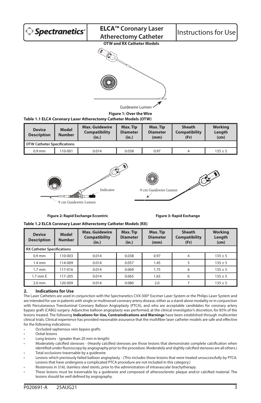

9 cm Guidewire Lumen

**Figure 2: Rapid Exchange Eccentric Figure 3: Rapid Exchange**

|  | Table 1.2 ELCA Coronary Laser Atherectomy Catheter Models (RX) |
|--|----------------------------------------------------------------|

| <b>Device</b><br><b>Description</b> | <b>Model</b><br><b>Number</b>     | <b>Max. Guidewire</b><br><b>Compatibility</b><br>(in.) | Max. Tip<br><b>Diameter</b><br>(in.) | Max. Tip<br><b>Diameter</b><br>(mm) | <b>Sheath</b><br><b>Compatibility</b><br>(Fr) | <b>Working</b><br>Length<br>(cm) |  |
|-------------------------------------|-----------------------------------|--------------------------------------------------------|--------------------------------------|-------------------------------------|-----------------------------------------------|----------------------------------|--|
|                                     | <b>RX Catheter Specifications</b> |                                                        |                                      |                                     |                                               |                                  |  |
| $0.9$ mm                            | 110-003                           | 0.014                                                  | 0.038                                | 0.97                                | 4                                             | $135 \pm 5$                      |  |
| $1.4 \text{ mm}$                    | 114-009                           | 0.014                                                  | 0.057                                | 1.45                                |                                               | $135 \pm 5$                      |  |
| $1.7 \text{ mm}$                    | 117-016                           | 0.014                                                  | 0.069                                | 1.75                                | 6                                             | $135 \pm 5$                      |  |
| 1.7 mm E                            | 117-205                           | 0.014                                                  | 0.065                                | 1.65                                | 6                                             | $135 \pm 5$                      |  |
| $2.0$ mm                            | 120-009                           | 0.014                                                  | 0.080                                | 2.0                                 |                                               | $135 \pm 5$                      |  |

# **2. Indications for Use**

The Laser Catheters are used in conjunction with the Spectranetics CVX-300® Excimer Laser System or the Philips Laser System and are intended for use in patients with single or multivessel coronary artery disease, either as a stand-alone modality or in conjunction with Percutaneous Transluminal Coronary Balloon Angioplasty (PTCA), and who are acceptable candidates for coronary artery bypass graft (CABG) surgery. Adjunctive balloon angioplasty was performed, at the clinical investigator's discretion, for 85% of the lesions treated. The following **Indications for Use, Contraindications and Warnings** have been established through multicenter clinical trials. Clinical experience has provided reasonable assurance that the multifiber laser catheter models are safe and effective for the following indications:

- Occluded saphenous vein bypass grafts
- Ostial lesions
- Long lesions (greater than 20 mm in length)
- Moderately calcified stenoses (Heavily calcified stenoses are those lesions that demonstrate complete calcification when identified under fluoroscopy by angiography prior to the procedure. Moderately and slightly calcified stenoses are all others.) Total occlusions traversable by a quidewire
- Lesions which previously failed balloon angioplasty (This includes those lesions that were treated unsuccessfully by PTCA. Lesions that have undergone a complicated PTCA procedure are not included in this category.)
- Restenosis in 316L stainless steel stents, prior to the administration of intravascular brachytherapy.
- These lesions must be traversable by a guidewire and composed of atherosclerotic plaque and/or calcified material. The lesions should be well defined by angiography.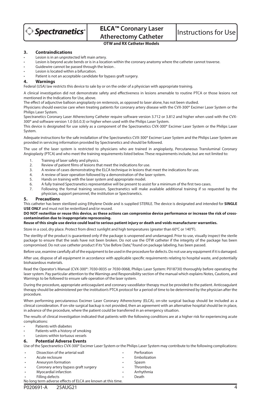

# **OTW and RX Catheter Models**

#### **3. Contraindications**

- Lesion is in an unprotected left main artery.
- Lesion is beyond acute bends or is in a location within the coronary anatomy where the catheter cannot traverse.
- Guidewire cannot be passed through the lesion.
- Lesion is located within a bifurcation.
- Patient is not an acceptable candidate for bypass graft surgery.

#### **4. Warnings**

Federal (USA) law restricts this device to sale by or on the order of a physician with appropriate training.

A clinical investigation did not demonstrate safety and effectiveness in lesions amenable to routine PTCA or those lesions not mentioned in the Indications for Use, above.

The effect of adjunctive balloon angioplasty on restenosis, as opposed to laser alone, has not been studied.

Physicians should exercise care when treating patients for coronary artery disease with the CVX-300® Excimer Laser System or the Philips Laser System.

Spectranetics Coronary Laser Atherectomy Catheter require software version 3.712 or 3.812 and higher when used with the CVX-300® and software version 1.0 (b5.0.3) or higher when used with the Philips Laser System.

This device is designated for use solely as a component of the Spectranetics CVX-300® Excimer Laser System or the Philips Laser System.

Adequate instructions for the safe installation of the Spectranetics CVX-300® Excimer Laser System and the Philips Laser System are provided in servicing information provided by Spectranetics and should be followed.

The use of the laser system is restricted to physicians who are trained in angioplasty, Percutaneous Transluminal Coronary Angioplasty (PTCA) and who meet the training requirements listed below. These requirements include, but are not limited to:

- 1. Training of laser safety and physics.
- 2. Review of patient films of lesions that meet the indications for use.
- 3. A review of cases demonstrating the ELCA technique in lesions that meet the indications for use.
- 4. A review of laser operation followed by a demonstration of the laser system.<br>5. Hands on training with the laser system and appropriate model
- Hands on training with the laser system and appropriate model.
- 6. A fully trained Spectranetics representative will be present to assist for a minimum of the first two cases.
- 7. Following the formal training session, Spectranetics will make available additional training if so requested by the physician, support personnel, the institution or Spectranetics.

#### **5. Precautions**

This catheter has been sterilized using Ethylene Oxide and is supplied STERILE. The device is designated and intended for **SINGLE USE ONLY** and must not be resterilized and/or reused.

#### **DO NOT resterilize or reuse this device, as these actions can compromise device performance or increase the risk of crosscontamination due to inappropriate reprocessing.**

#### **Reuse of this single use device could lead to serious patient injury or death and voids manufacturer warranties.**

Store in a cool, dry place. Protect from direct sunlight and high temperatures (greater than 60°C or 140°F).

The sterility of the product is guaranteed only if the package is unopened and undamaged. Prior to use, visually inspect the sterile package to ensure that the seals have not been broken. Do not use the OTW catheter if the integrity of the package has been compromised. Do not use catheter product if its "Use Before Date," found on package labeling, has been passed.

Before use, examine carefully all of the equipment to be used in the procedure for defects. Do not use any equipment if it is damaged.

After use, dispose of all equipment in accordance with applicable specific requirements relating to hospital waste, and potentially biohazardous materials.

Read the Operator's Manual (CVX-300®: 7030-0035 or 7030-0068, Philips Laser System: P018730) thoroughly before operating the laser system. Pay particular attention to the Warnings and Responsibility section of the manual which explains Notes, Cautions, and Warnings to be followed to ensure safe operation of the laser system.

During the procedure, appropriate anticoagulant and coronary vasodilator therapy must be provided to the patient. Anticoagulant therapy should be administered per the institution's PTCA protocol for a period of time to be determined by the physician after the procedure.

When performing percutaneous Excimer Laser Coronary Atherectomy (ELCA), on-site surgical backup should be included as a clinical consideration. If on-site surgical backup is not provided, then an agreement with an alternative hospital should be in place, in advance of the procedure, where the patient could be transferred in an emergency situation.

The results of clinical investigation indicated that patients with the following conditions are at a higher risk for experiencing acute complications:

- Patients with diabetes
- Patients with a history of smoking
- Lesions within tortuous vessels

#### **6. Potential Adverse Events**

Use of the Spectranetics CVX-300® Excimer Laser System or the Philips Laser System may contribute to the following complications:

| $\bullet$ | Dissection of the arterial wall                              | ٠ | Perforation  |  |  |  |  |
|-----------|--------------------------------------------------------------|---|--------------|--|--|--|--|
| $\bullet$ | Acute reclosure                                              | ٠ | Embolization |  |  |  |  |
| $\bullet$ | Aneurysm formation                                           | ٠ | Spasm        |  |  |  |  |
| $\bullet$ | Coronary artery bypass graft surgery                         | ٠ | Thrombus     |  |  |  |  |
| $\bullet$ | Myocardial infarction                                        | ٠ | Arrhythmia   |  |  |  |  |
| $\bullet$ | Filling defects                                              | ٠ | Death        |  |  |  |  |
|           | No long term adverse effects of ELCA are known at this time. |   |              |  |  |  |  |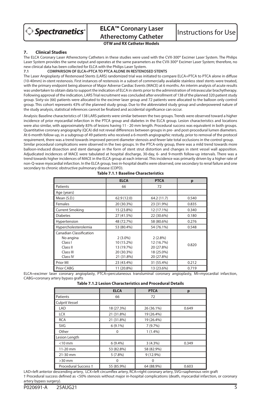

**OTW and RX Catheter Models**

# **7. Clinical Studies**

The ELCA Coronary Laser Atherectomy Catheters in these studies were used with the CVX-300® Excimer Laser System. The Philips Laser System provides the same output and operates at the same parameters as the CVX-300® Excimer Laser System; therefore, no new clinical data has been collected for ELCA with the Philips Laser System.<br>71 COMPARISON OF FLCA+PTCA TO PTCA ALONE IN RESTENC

#### **7.1 COMPARISON OF ELCA+PTCA TO PTCA ALONE IN RESTENOSED STENTS**

The Laser Angioplasty of Restenosed Stents (LARS) randomized trial was initiated to compare ELCA+PTCA to PTCA alone in diffuse (10-40mm) in-stent restenosis. First instances of restenosis in a subset of commercially available stainless steel stents were treated, with the primary endpoint being absence of Major Adverse Cardiac Events (MACE) at 6 months. An interim analysis of acute results was undertaken to obtain data to support the indication of ELCA in stents prior to the administration of intravascular brachytherapy. Following approval of the indication, LARS Trial recruitment was concluded after enrollment of 138 of the planned 320 patient study group. Sixty-six (66) patients were allocated to the excimer laser group and 72 patients were allocated to the balloon only control group. This cohort represents 43% of the planned study group. Due to the abbreviated study group and underpowered nature of the study analysis, statistical inferences cannot be finalized and accidental significance can occur.

Analysis: Baseline characteristics of 138 LARS patients were similar between the two groups. Trends were observed toward a higher incidence of prior myocardial infarction in the PTCA group and diabetes in the ELCA group. Lesion characteristics and locations were also similar, with approximately 83% of lesions having 11 - 20 mm length. Procedural success was equivalent in both groups. Quantitative coronary angiography (QCA) did not reveal differences between groups in pre- and post-procedural lumen diameters. At 6-month follow-up, in a subgroup of 49 patients who received a 6-month angiographic restudy, prior to removal of the protocol requirement, there was a trend towards improved percent diameter stenosis and fewer late total occlusions in the control group. Similar procedural complications were observed in the two groups. In the PTCA-only group, there was a mild trend towards more balloon-induced dissection and stent damage in the form of stent strut distortion and changes in stent vessel wall apposition. Adjudicated incidences of MACE were tabulated at hospital discharge, 30-day, 6- and 9-month follow-up intervals. There was a trend towards higher incidences of MACE in the ELCA group at each interval. This incidence was primarily driven by a higher rate of non-Q-wave myocardial infarction. In the ELCA group, two in-hospital deaths were observed, one secondary to renal failure and one secondary to chronic obstructive pulmonary disease (COPD).

|                         | <b>ELCA</b> | <b>PTCA</b> | p     |
|-------------------------|-------------|-------------|-------|
| Patients                | 66          | 72          |       |
| Age (years)             |             |             |       |
| Mean (S.D.)             | 62.9 (12.0) | 64.2 (11.7) | 0.540 |
| Females                 | 20 (30.3%)  | 23 (31.9%)  | 0.835 |
| <b>Current Smoking</b>  | 15 (23.8%)  | 12 (17.1%)  | 0.340 |
| <b>Diabetes</b>         | 27 (41.5%)  | 22 (30.6%)  | 0.180 |
| Hypertension            | 48 (72.7%)  | 58 (80.6%)  | 0.276 |
| Hypercholesterolemia    | 53 (80.4%)  | 54 (76.1%)  | 0.548 |
| Canadian Classification |             |             |       |
| No angina               | $2(3.0\%)$  | $2(2.8\%)$  |       |
| Class I                 | 10 (15.2%)  | 12 (16.7%)  | 0.820 |
| Class II                | 13 (19.7%)  | 20 (27.8%)  |       |
| Class III               | 20 (30.3%)  | 18 (25.0%)  |       |
| Class IV                | 21 (31.8%)  | 20 (27.8%)  |       |
| Prior MI                | 23 (43.4%)  | 31 (55.4%)  | 0.212 |
| Prior CABG              | 11 (20.8%)  | 13 (23.6%)  | 0.719 |

## **Table 7.1.1 Baseline Characteristics**

ELCA=excimer laser coronary angioplasty, PTCA=percutaneous transluminal coronary angioplasty, MI=myocardial infarction, CABG=coronary artery bypass grafts

|                       | <b>ELCA</b> | <b>PTCA</b> | p     |
|-----------------------|-------------|-------------|-------|
| Patients              | 66          | 72          |       |
| <b>Culprit Vessel</b> |             |             |       |
| LAD                   | 18 (27.3%)  | 26 (36.1%)  | 0.649 |
| <b>LCX</b>            | 21 (31.8%)  | 19 (26.4%)  |       |
| <b>RCA</b>            | 21 (31.8%)  | 19 (26.4%)  |       |
| <b>SVG</b>            | $6(9.1\%)$  | 7(9.7%)     |       |
| Other                 | 0           | 1(1.4%)     |       |
| Lesion Length         |             |             |       |
| $<$ 10 mm             | $6(9.4\%)$  | $3(4.3\%)$  | 0.349 |
| 11-20 mm              | 53 (82.8%)  | 58 (82.9%)  |       |
| 21-30 mm              | 5(7.8%)     | 9 (12.9%)   |       |
| $>30$ mm              | ŋ           | $\Omega$    |       |
| Procedural Success +  | 55 (85.9%)  | 64 (88.9%)  | 0.603 |

LAD=left anterior descending artery, LCX=left circumflex artery, RCA=right coronary artery, SVG=saphenous vein graft † Procedural success defined as <50% stenosis without major in-hospital complications (death, myocardial infarction, or coronary artery bypass surgery).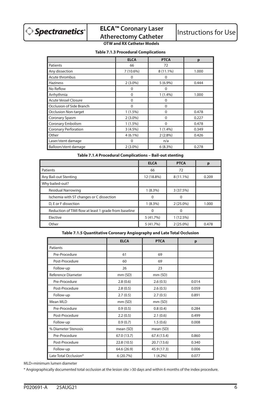

# **ELCA™ Coronary Laser ELCA<sup>™</sup> Coronary Laser** Instructions for Use<br>Atherectomy Catheter Instructions for Use

# **OTW and RX Catheter Models**

**Table 7.1.3 Procedural Complications**

|                             | <b>ELCA</b> | <b>PTCA</b> | p     |
|-----------------------------|-------------|-------------|-------|
| Patients                    | 66          | 72          |       |
| Any dissection              | 7 (10.6%)   | 8 (11.1%)   | 1.000 |
| Acute thrombus              | 0           | $\Omega$    |       |
| <b>Haziness</b>             | $2(3.0\%)$  | $5(6.9\%)$  | 0.444 |
| No Reflow                   | 0           | 0           |       |
| Arrhythmia                  | 0           | 1(1.4%)     | 1.000 |
| <b>Acute Vessel Closure</b> | $\Omega$    | $\Omega$    |       |
| Occlusion of Side Branch    | 0           | 0           |       |
| <b>Occlusion Non-target</b> | $1(1.5\%)$  | 0           | 0.478 |
| Coronary Spasm              | $2(3.0\%)$  | $\Omega$    | 0.227 |
| Coronary Embolism           | $1(1.5\%)$  | 0           | 0.478 |
| <b>Coronary Perforation</b> | 3(4.5%)     | 1(1.4%)     | 0.349 |
| Other                       | $4(6.1\%)$  | $2(2.8\%)$  | 0.426 |
| Laser/stent damage          | 0           | n/a         |       |
| Balloon/stent damage        | $2(3.0\%)$  | 6(8.3%)     | 0.278 |

**Table 7.1.4 Procedural Complications – Bail-out stenting**

|                                                       | <b>ELCA</b> | <b>PTCA</b> |       |
|-------------------------------------------------------|-------------|-------------|-------|
| Patients                                              | 66          | 72          |       |
| Any Bail-out Stenting                                 | 12 (18.8%)  | 8 (11.1%)   | 0.209 |
| Why bailed-out?                                       |             |             |       |
| <b>Residual Narrowing</b>                             | $1(8.3\%)$  | 3 (37.5%)   |       |
| Ischemia with ST changes or C dissection              |             | o           |       |
| D, E or F dissection                                  | $1(8.3\%)$  | $2(25.0\%)$ | 1.000 |
| Reduction of TIMI flow at least 1 grade from baseline | O           | 0           |       |
| Elective                                              | 5 (41.7%)   | 1(12.5%)    |       |
| Other                                                 | 5 (41.7%)   | $2(25.0\%)$ | 0.478 |

# **Table 7.1.5 Quantitative Coronary Angiography and Late Total Occlusion**

|                       | <b>ELCA</b> | <b>PTCA</b> | p     |
|-----------------------|-------------|-------------|-------|
| Patients              |             |             |       |
| Pre-Procedure         | 61          | 69          |       |
| Post-Procedure        | 60          | 69          |       |
| Follow-up             | 26          | 23          |       |
| Reference Diameter    | mm (SD)     | mm (SD)     |       |
| Pre-Procedure         | 2.8(0.6)    | 2.6(0.5)    | 0.014 |
| Post-Procedure        | 2.8(0.5)    | 2.6(0.5)    | 0.059 |
| Follow-up             | 2.7(0.5)    | 2.7(0.5)    | 0.891 |
| Mean MLD              | mm (SD)     | mm (SD)     |       |
| Pre-Procedure         | 0.9(0.5)    | 0.8(0.4)    | 0.284 |
| Post-Procedure        | 2.2(0.5)    | 2.1(0.6)    | 0.499 |
| Follow-up             | 0.9(0.7)    | 1.5(0.6)    | 0.008 |
| % Diameter Stenosis   | mean (SD)   | mean (SD)   |       |
| Pre-Procedure         | 67.0 (13.7) | 67.4 (13.4) | 0.860 |
| Post-Procedure        | 22.8 (10.5) | 20.7 (13.6) | 0.340 |
| Follow-up             | 64.6 (26.9) | 45.9 (17.3) | 0.006 |
| Late Total Occlusion* | 6(20.7%)    | $1(4.2\%)$  | 0.077 |

MLD=minimum lumen diameter

\* Angiographically documented total occlusion at the lesion site >30 days and within 6 months of the index procedure.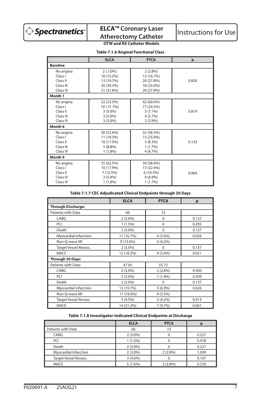

# **ELCA™ Coronary Laser**

# **OTW and RX Catheter Models**

# **Table 7.1.6 Anginal Functional Class**

|                 | <b>ELCA</b> | <b>PTCA</b> | p     |
|-----------------|-------------|-------------|-------|
| <b>Baseline</b> |             |             |       |
| No angina       | $2(3.0\%)$  | $2(2.8\%)$  |       |
| Class I         | 10 (15.2%)  | 12 (16.7%)  |       |
| Class II        | 13 (19.7%)  | 20 (27.8%)  | 0.820 |
| Class III       | 20 (30.3%)  | 18 (25.0%)  |       |
| Class IV        | 21 (31.8%)  | 20 (27.8%)  |       |
| Month 1         |             |             |       |
| No angina       | 32 (53.3%)  | 42 (60.0%)  |       |
| Class I         | 19 (31.7%)  | 17 (24.3%)  |       |
| Class II        | $3(5.0\%)$  | $5(7.1\%)$  | 0.819 |
| Class III       | $3(5.0\%)$  | $4(5.7\%)$  |       |
| Class IV        | $3(5.0\%)$  | 2(2.9%)     |       |
| Month 6         |             |             |       |
| No angina       | 30 (52.6%)  | 35 (58.3%)  |       |
| Class I         | 11 (19.3%)  | 15 (25.0%)  |       |
| Class II        | 10 (17.5%)  | 5(8.3%)     | 0.133 |
| Class III       | $5(8.8\%)$  | $1(1.7\%)$  |       |
| Class IV        | $1(1.8\%)$  | 4(6.7%)     |       |
| Month 9         |             |             |       |
| No angina       | 35 (62.5%)  | 34 (58.6%)  |       |
| Class I         | 10 (17.9%)  | 13 (22.4%)  |       |
| Class II        | 7(12.5%)    | $6(10.3\%)$ | 0.964 |
| Class III       | 3(5.4%)     | 4(6.9%)     |       |
| Class IV        | 1 (1.8%)    | $1(1.7\%)$  |       |

# **Table 7.1.7 CEC Adjudicated Clinical Endpoints through 30 Days**

|                           | <b>ELCA</b> | <b>PTCA</b> | р     |  |  |
|---------------------------|-------------|-------------|-------|--|--|
| <b>Through Discharge:</b> |             |             |       |  |  |
| Patients with Data        | 66          | 72          |       |  |  |
| CABG                      | $2(3.0\%)$  | $\mathbf 0$ | 0.137 |  |  |
| PCI                       | $1(1.5\%)$  | $\Omega$    | 0.295 |  |  |
| Death                     | $2(3.0\%)$  | 0           | 0.137 |  |  |
| Myocardial Infarction     | 11 (16.7%)  | $4(5.6\%)$  | 0.036 |  |  |
| Non-Q-wave MI             | $9(13.6\%)$ | $3(4.2\%)$  |       |  |  |
| Target Vessel Revasc.     | $2(3.0\%)$  | 0           | 0.137 |  |  |
| <b>MACE</b>               | 12 (18.2%)  | 4(5.6%)     | 0.021 |  |  |
| Through 30 Days:          |             |             |       |  |  |
| Patients with Data:       | 4765        | 5572        |       |  |  |
| CABG                      | $2(3.0\%)$  | $2(2.8\%)$  | 0.930 |  |  |
| PCI                       | $2(3.0\%)$  | 1(1.4%)     | 0.509 |  |  |
| Death                     | $2(3.0\%)$  | 0           | 0.137 |  |  |
| Myocardial Infarction     | 13 (19.7%)  | $5(6.9\%)$  | 0.026 |  |  |
| Non-Q-wave MI             | 11 (16.6%)  | $4(5.5\%)$  |       |  |  |
| Target Vessel Revasc.     | 3(4.5%)     | $3(4.2\%)$  | 0.913 |  |  |
| <b>MACE</b>               | 14 (21.2%)  | 7(9.7%)     | 0.061 |  |  |

# **Table 7.1.8 Investigator-Indicated Clinical Endpoints at Discharge**

|                       | <b>ELCA</b> | <b>PTCA</b> |       |
|-----------------------|-------------|-------------|-------|
| Patients with Data    | 66          | 72          |       |
| CABG                  | $2(3.0\%)$  |             | 0.227 |
| PCI                   | $1(1.5\%)$  |             | 0.478 |
| Death                 | $2(3.0\%)$  |             | 0.227 |
| Myocardial Infarction | $2(3.0\%)$  | $2(2.8\%)$  | 1.000 |
| Target Vessel Revasc. | $3(4.6\%)$  |             | 0.107 |
| <b>MACE</b>           | $5(7.6\%)$  | $2(2.8\%)$  | 0.259 |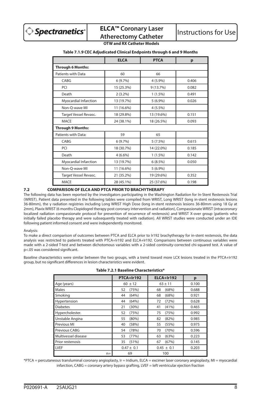

# **ELCA™ Coronary Laser ELCA<sup>T</sup> Coronary Laser** | Instructions for Use<br>Atherectomy Catheter | Instructions for Use

# **OTW and RX Catheter Models**

|                       | <b>ELCA</b> | <b>PTCA</b> | р     |
|-----------------------|-------------|-------------|-------|
| Through 6 Months:     |             |             |       |
| Patients with Data    | 60          | 66          |       |
| CABG                  | 6(9.7%)     | 4 (5.9%)    | 0.406 |
| <b>PCI</b>            | 15 (25.3%)  | 9 (13.7%)   | 0.082 |
| Death                 | $2(3.2\%)$  | $1(1.5\%)$  | 0.491 |
| Myocardial Infarction | 13 (19.7%)  | $5(6.9\%)$  | 0.026 |
| Non-O-wave MI         | 11 (16.6%)  | $4(5.5\%)$  |       |
| Target Vessel Revasc. | 18 (29.8%)  | 13 (19.6%)  | 0.151 |

MACE 24 (38.1%) 18 (26.5%) 0.093

CABG 6 (9.7%) 5 (7.5%) 0.615 PCI 18 (30.7%) 14 (22.0%) 0.185 Death 4 (6.6%) 1 (1.5%) 0.142 Myocardial Infarction  $\begin{array}{|c|c|c|c|c|c|c|c|c|} \hline 13 & 19.7\% & 6 & 8.5\% \hline \end{array}$  0.050

Target Vessel Revasc. | 21 (35.2%) | 19 (29.6%) | 0.352 MACE 28 (45.1%) 25 (37.6%) 0.198

Patients with Data: 59 65

Non-Q-wave MI 11 (16.6%) 5 (6.9%)

## **Table 7.1.9 CEC Adjudicated Clinical Endpoints through 6 and 9 Months**

#### **7.2 COMPARISON OF ELCA AND PTCA PRIOR TO BRACHYTHERAPY**

**Through 9 Months:**

The following data has been reported by the investigators participating in the Washington Radiation for In-Stent Restenosis Trial (WRIST). Patient data presented in the following tables were compiled from WRIST, Long WRIST (long in-stent restenosis lesions 36-80mm), the γ radiation registries including Long WRIST High Dose (long in-stent restenosis lesions 36-80mm using 18 Gy at 2mm), Plavix WRIST (6 months Clopidogrel therapy post coronary intervention and radiation), Compassionate WRIST (intracoronary localized radiation compassionate protocol for prevention of recurrence of restenosis) and WRIST X-over group (patients who initially failed placebo therapy and were subsequently treated with radiation). All WRIST studies were conducted under an IDE following patient informed consent and were independently monitored.

#### Analysis:

To make a direct comparison of outcomes between PTCA and ELCA prior to Ir192 brachytherapy for in-stent restenosis, the data analysis was restricted to patients treated with PTCA+Ir192 and ELCA+Ir192. Comparisons between continuous variables were made with a 2-sided T-test and between dichotomous variables with a 2-sided continuity-corrected chi-squared test. A value of p<.05 was considered significant.

Baseline characteristics were similar between the two groups, with a trend toward more LCX lesions treated in the PTCA+Ir192 group, but no significant differences in lesion characteristics were evident.

|                     | PTCA+Ir192     | ELCA+Ir192     | p     |
|---------------------|----------------|----------------|-------|
| Age (years)         | $60 \pm 12$    | $63 \pm 11$    | 0.100 |
| Males               | 52<br>(75%)    | (68%)<br>68    | 0.688 |
| Smoking             | (64%)<br>44    | (68%)<br>68    | 0.921 |
| Hypertension        | (64%)<br>44    | 72<br>(72%)    | 0.628 |
| <b>Diabetes</b>     | (30%)<br>21    | (41%)<br>41    | 0.465 |
| Hypercholester.     | 52<br>(75%)    | 75<br>(75%)    | 0.992 |
| Unstable Angina     | 55<br>(80%)    | (82%)<br>82    | 0.985 |
| Previous MI         | (58%)<br>40    | (55%)<br>55    | 0.975 |
| Previous CABG       | (78%)<br>54    | 70<br>(70%)    | 0.596 |
| Multivessel disease | 53<br>(77%)    | (63%)<br>63    | 0.223 |
| Prior restenosis    | 35<br>(51%)    | 67<br>(67%)    | 0.145 |
| LVEF                | $0.47 \pm 0.1$ | $0.45 \pm 0.1$ | 0.203 |
| $n =$               | 69             | 100            |       |

|  |  | Table 7.2.1 Baseline Characteristics* |
|--|--|---------------------------------------|
|--|--|---------------------------------------|

\*PTCA = percutaneous transluminal coronary angioplasty, Ir = Iridium, ELCA = excimer laser coronary angioplasty, MI = myocardial infarction, CABG = coronary artery bypass grafting, LVEF = left ventricular ejection fraction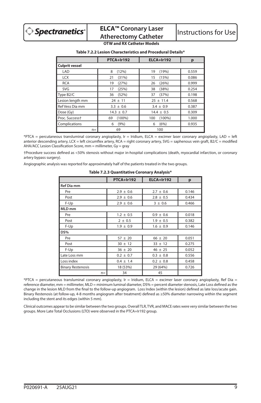# **ELCA™ Coronary Laser ELCA<sup>T</sup> Coronary Laser** | Instructions for Use<br>Atherectomy Catheter | Instructions for Use

# **OTW and RX Catheter Models**

**Table 7.2.2 Lesion Characteristics and Procedural Details\***

|                            | PTCA+Ir192      | ELCA+Ir192       | p     |
|----------------------------|-----------------|------------------|-------|
| <b>Culprit vessel</b>      |                 |                  |       |
| LAD                        | (12%)<br>8      | (19%)<br>19      | 0.559 |
| <b>LCX</b>                 | (31%)<br>21     | (15%)<br>15      | 0.086 |
| <b>RCA</b>                 | (27%)<br>19     | (26%)<br>26      | 0.999 |
| <b>SVG</b>                 | (25%)<br>17     | (38%)<br>38      | 0.254 |
| Type B <sub>2</sub> /C     | (52%)<br>36     | (37%)<br>37      | 0.198 |
| Lesion length mm           | $24 + 11$       | $25 + 11.4$      | 0.568 |
| Ref Vess Dia mm            | $3.3 \pm 0.6$   | $3.4 \pm 0.9$    | 0.387 |
| Dose (Gy)                  | $14.3 \pm 0.7$  | $14.4 \pm 0.5$   | 0.309 |
| Proc. Success <sup>+</sup> | $(100\%)$<br>69 | $(100\%)$<br>100 | 1.000 |
| Complications              | (9% )<br>6      | (6%)<br>6        | 0.935 |
| $n =$                      | 69              | 100              |       |

\*PTCA = percutaneous transluminal coronary angioplasty, Ir = Iridium, ELCA = excimer laser coronary angioplasty, LAD = left anterior descending artery, LCX = left circumflex artery, RCA = right coronary artery, SVG = saphenous vein graft, B2/C = modified AHA/ACC Lesion Classification Score, mm = millimeter, Gy = gray

†Procedure success defined as <50% stenosis without major in-hospital complications (death, myocardial infarction, or coronary artery bypass surgery).

Angiographic analysis was reported for approximately half of the patients treated in the two groups.

|                          |       | PTCA+Ir192    | ELCA+Ir192           | p     |
|--------------------------|-------|---------------|----------------------|-------|
| <b>Ref Dia mm</b>        |       |               |                      |       |
| Pre                      |       | $2.9 \pm 0.6$ | $2.7 \pm 0.6$        | 0.146 |
| Post                     |       | $2.9 \pm 0.6$ | $2.8 \pm 0.5$        | 0.434 |
| F-Up                     |       | $2.9 \pm 0.6$ | 0.466<br>$3 \pm 0.6$ |       |
| MLD mm                   |       |               |                      |       |
| Pre                      |       | $1.2 \pm 0.5$ | $0.9 \pm 0.6$        | 0.018 |
| Post                     |       | $2 \pm 0.5$   | $1.9 \pm 0.5$        | 0.382 |
| F-Up                     |       | $1.9 \pm 0.9$ | $1.6 \pm 0.9$        | 0.146 |
| DS%                      |       |               |                      |       |
| Pre                      |       | $57 \pm 20$   | $66 \pm 20$          | 0.051 |
| Post                     |       | $30 \pm 12$   | $33 \pm 12$          | 0.275 |
| F-Up                     |       | $36 \pm 20$   | $46 \pm 25$          | 0.052 |
| Late Loss mm             |       | $0.2 \pm 0.7$ | $0.3 \pm 0.8$        | 0.556 |
| Loss index               |       | $0.4 \pm 1.4$ | $0.2 \pm 0.8$        | 0.458 |
| <b>Binary Restenosis</b> |       | 18 (53%)      | 29 (64%)             | 0.726 |
|                          | $n =$ | 34            | 45                   |       |

**Table 7.2.3 Quantitative Coronary Analysis\***

\*PTCA = percutaneous transluminal coronary angioplasty, Ir = Iridium, ELCA = excimer laser coronary angioplasty, Ref Dia = reference diameter, mm = millimeter, MLD = minimum luminal diameter, DS% = percent diameter stenosis, Late Loss defined as the change in the lesion MLD from the final to the follow-up angiogram. Loss Index (within the lesion) defined as late loss/acute gain. Binary Restenosis (at follow-up, 4-8 months angiogram after treatment) defined as ≥50% diameter narrowing within the segment including the stent and its edges (within 5 mm).

Clinical outcomes appear to be similar between the two groups. Overall TLR, TVR, and MACE rates were very similar between the two groups. More Late Total Occlusions (LTO) were observed in the PTCA+Ir192 group.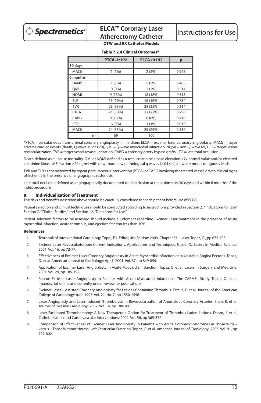|             | PTCA+Ir192 | ELCA+Ir192 | p     |
|-------------|------------|------------|-------|
| 30 days     |            |            |       |
| MACE        | 1(1%)      | 2(2%)      | 0.948 |
| 6 months    |            |            |       |
| Death       | 1(1%)      | 5(5%)      | 0.403 |
| OMI         | 0(0%       | 2(2%)      | 0.514 |
| <b>NOMI</b> | 9(13%)     | 18 (18%)   | 0.515 |
| <b>TLR</b>  | 13 (19%)   | 16 (16%)   | 0.784 |
| <b>TVR</b>  | 23 (33%)   | 25 (25%)   | 0.314 |
| <b>PTCA</b> | 21 (30%)   | 22 (22%)   | 0.290 |
| CABG        | 9 (13%)    | 8 (8%)     | 0.418 |
| <b>LTO</b>  | 6(9%)      | 1(1%)      | 0.019 |
| <b>MACE</b> | 24 (35%)   | 29 (29%)   | 0.530 |
| $n =$       | 69         | 100        |       |

#### **Table 7.2.4 Clinical Outcomes\***

\*PTCA = percutaneous transluminal coronary angioplasty, Ir = Iridium, ELCA = excimer laser coronary angioplasty, MACE = major adverse cardiac events (death, Q-wave MI or TVR), QMI = Q-wave myocardial infarction, NQMI = non-Q-wave MI, TLR = target lesion revascularization, TVR = target vessel revascularization, CABG = coronary artery bypass grafts, LTO = late total occlusion.

Death defined as all-cause mortality. QMI or NQMI defined as a total creatinine kinase elevation ≥2x normal value and/or elevated creatinine kinase MB fraction ≥20 ng/ml with or without new pathological q waves (>.04 sec) in two or more contiguous leads.

TVR and TLR as characterized by repeat percutaneous intervention (PTCA) or CABG involving the treated vessel, driven clinical signs of ischemia in the presence of angiographic restenosis.

Late total occlusion defined as angiographically documented total occlusion at the lesion site>30 days and within 6 months of the index procedure.

# **8. Individualization of Treatment**

The risks and benefits described above should be carefully considered for each patient before use of ELCA.

Patient selection and clinical techniques should be conducted according to instructions provided in Section 2., "Indications for Use," Section 7, "Clinical Studies," and Section 12, "Directions for Use."

Patient selection factors to be assessed should include a judgment regarding Excimer Laser treatment in the presence of acute myocardial infarction, acute thrombus, and ejection fraction less than 30%.

#### **References**

- 1. Textbook of Interventional Cardiology. Topol, E.J. Editor, 4th Edition: 2003, Chapter 31 Laser, Topaz, O., pp 675-703.
- 2. Excimer Laser Revascularisation: Current Indications, Applications and Techniques. Topaz, O., Lasers in Medical Science: 2001: Vol. 16, pp 72-77.
- 3. Effectiveness of Excimer Laser Coronary Angioplasty in Acute Myocardial Infarction or in Unstable Angina Pectoris. Topaz, O. et al. American Journal of Cardiology: Apr 1, 2001: Vol. 87, pp 849-855.
- 4. Application of Excimer Laser Angioplasty in Acute Myocardial Infarction. Topaz, O. et al, Lasers in Surgery and Medicine: 2001: Vol. 29, pp 185-192.
- 5. Rescue Excimer Laser Angioplasty in Patients with Acute Myocardial Infarction The CARMEL Study. Topaz, O. et al. (manuscript on file and currently under review for publication)
- 6. Excimer Laser Assisted Coronary Angioplasty for Lesions Containing Thrombus. Estella, P. et al. Journal of the American College of Cardiology: June 1993: Vol. 21: No. 7, pp 1550-1556.
- 7. Laser Angioplasty and Laser-Induced Thrombolysis in Revascularization of Anomalous Coronary Arteries. Shah, R. et al. Journal of Invasive Cardiology: 2002: Vol. 14, pp 180-186.
- 8. Laser-Facilitated Thrombectomy: A New Therapeutic Option for Treatment of Thrombus-Laden Lesions. Dahm, J. et al. Catheterization and Cardiovascular Interventions: 2002: Vol. 56, pp 365-372.
- 9. Comparison of Effectiveness of Excimer Laser Angioplasty in Patients with Acute Coronary Syndromes in Those With versus – Those Without Normal Left Ventricular Function. Topaz, O. et al. American Journal of Cardiology: 2003: Vol. 91, pp 797-802.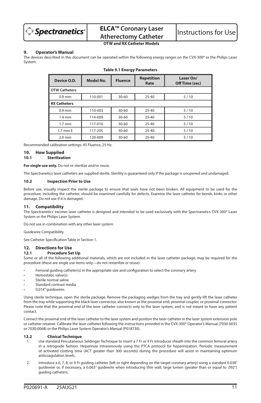

# **OTW and RX Catheter Models**

## **9. Operator's Manual**

The devices described in this document can be operated within the following energy ranges on the CVX-300® or the Philips Laser System:

| Device O.D.          | <b>Model No.</b> | <b>Fluence</b> | <b>Repetition</b><br>Rate | Laser On/<br>Off Time (sec) |
|----------------------|------------------|----------------|---------------------------|-----------------------------|
| <b>OTW Catheters</b> |                  |                |                           |                             |
| $0.9$ mm             | 110-001          | 30-60          | $25 - 40$                 | 5/10                        |
| <b>RX Catheters</b>  |                  |                |                           |                             |
| $0.9$ mm             | 110-003          | 30-60          | $25 - 40$                 | 5/10                        |
| $1.4 \text{ mm}$     | 114-009          | 30-60          | $25 - 40$                 | 5/10                        |
| $1.7 \text{ mm}$     | 117-016          | $30 - 60$      | $25 - 40$                 | 5/10                        |
| 1.7 mm E             | 117-205          | 30-60          | $25 - 40$                 | 5/10                        |
| $2.0$ mm             | 120-009          | 30-60          | $25 - 40$                 | 5/10                        |

#### **Table 9.1 Energy Parameters**

Recommended calibration settings: 45 Fluence, 25 Hz.

#### **10. How Supplied**

#### **10.1 Sterilization**

**For single use only.** Do not re-sterilize and/or reuse.

The Spectranetics laser catheters are supplied sterile. Sterility is guaranteed only if the package is unopened and undamaged.

#### **10.2 Inspection Prior to Use**

Before use, visually inspect the sterile package to ensure that seals have not been broken. All equipment to be used for the procedure, including the catheter, should be examined carefully for defects. Examine the laser catheter for bends, kinks or other damage. Do not use if it is damaged.

## **11. Compatibility**

The Spectranetics' excimer laser catheter is designed and intended to be used exclusively with the Spectranetics CVX-300® Laser System or the Philips Laser System.

Do not use in combination with any other laser system.

Guidewire Compatibility

See Catheter Specification Table in Section 1.

# **12. Directions for Use**

#### **12.1 Procedure Set Up**

Some or all of the following additional materials, which are not included in the laser catheter package, may be required for the procedure (these are single use items only—do not resterilize or reuse):

- Femoral guiding catheter(s) in the appropriate size and configuration to select the coronary artery
- Hemostatic valve(s)
- Sterile normal saline
- Standard contrast media
- 0.014" guidewires

Using sterile technique, open the sterile package. Remove the packaging wedges from the tray and gently lift the laser catheter from the tray while supporting the black laser connector, also known as the proximal end, proximal coupler, or proximal connector. Please note that the proximal end of the laser catheter connects only to the laser system, and is not meant to have any patient contact.

Connect the proximal end of the laser catheter to the laser system and position the laser catheter in the laser system extension pole or catheter retainer. Calibrate the laser catheter following the instructions provided in the CVX-300® Operator's Manual (7030-0035 or 7030-0068) or the Philips Laser System Operator's Manual (P018730).

#### **12.2 Clinical Technique**

- 1. Use standard Percutaneous Seldinger Technique to insert a 7 Fr or 9 Fr introducer sheath into the common femoral artery in a retrograde fashion. Heparinize intravenously using the PTCA protocol for heparinization. Periodic measurement of activated clotting time (ACT greater than 300 seconds) during the procedure will assist in maintaining optimum anticoagulation levels.
- 2. Introduce a 6, 7, 8, or 9 Fr quiding catheter (left or right depending on the target coronary artery) using a standard 0.038" guidewire or, if necessary, a 0.063" guidewire when introducing thin wall, large lumen (greater than or equal to .092") guiding catheters.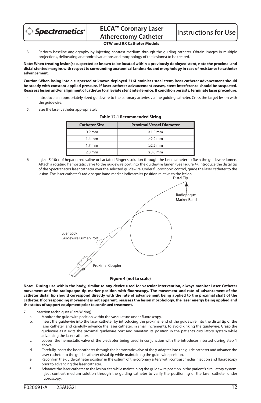

3. Perform baseline angiography by injecting contrast medium through the guiding catheter. Obtain images in multiple projections, delineating anatomical variations and morphology of the lesion(s) to be treated.

**Note: When treating lesion(s) suspected or known to be located within a previously deployed stent, note the proximal and distal stented margins with respect to surrounding anatomical landmarks and morphology in case of resistance to catheter advancement.**

**Caution: When lasing into a suspected or known deployed 316L stainless steel stent, laser catheter advancement should be steady with constant applied pressure. If laser catheter advancement ceases, stent interference should be suspected. Reassess lesion and/or alignment of catheter to alleviate stent interference. If condition persists, terminate laser procedure.**

- 4. Introduce an appropriately sized guidewire to the coronary arteries via the guiding catheter. Cross the target lesion with the guidewire.
- 5. Size the laser catheter appropriately:

| <b>Proximal Vessel Diameter</b><br><b>Catheter Size</b> |               |  |
|---------------------------------------------------------|---------------|--|
| $0.9$ mm                                                | $\geq 1.5$ mm |  |
| $1.4 \text{ mm}$                                        | $>2.2$ mm     |  |
| $1.7 \text{ mm}$                                        | $\geq$ 2.5 mm |  |
| $2.0$ mm                                                | $\geq$ 3.0 mm |  |

#### **Table 12.1 Recommended Sizing**

6. Inject 5-10cc of heparinized saline or Lactated Ringer's solution through the laser catheter to flush the guidewire lumen. Attach a rotating hemostatic valve to the guidewire port into the guidewire lumen (See Figure 4). Introduce the distal tip of the Spectranetics laser catheter over the selected guidewire. Under fluoroscopic control, guide the laser catheter to the lesion. The laser catheter's radiopaque band marker indicates its position relative to the lesion.



**Note: During use within the body, similar to any device used for vascular intervention, always monitor Laser Catheter movement and the radiopaque tip marker position with fluoroscopy. The movement and rate of advancement of the catheter distal tip should correspond directly with the rate of advancement being applied to the proximal shaft of the catheter. If corresponding movement is not apparent, reassess the lesion morphology, the laser energy being applied and the status of support equipment prior to continued treatment.**

- 7. Insertion techniques (Bare Wiring)
	- Monitor the guidewire position within the vasculature under fluoroscopy.
	- b. Insert the guidewire into the laser catheter by introducing the proximal end of the guidewire into the distal tip of the laser catheter, and carefully advance the laser catheter, in small increments, to avoid kinking the guidewire. Grasp the guidewire as it exits the proximal guidewire port and maintain its position in the patient's circulatory system while advancing the laser catheter.
	- c. Loosen the hemostatic valve of the y-adapter being used in conjunction with the introducer inserted during step 1 above.
	- d. Carefully insert the laser catheter through the hemostatic valve of the y-adapter into the guide catheter and advance the laser catheter to the guide catheter distal tip while maintaining the guidewire position.
	- e. Reconfirm the guide catheter position in the ostium of the coronary artery with contrast media injection and fluoroscopy prior to advancing the laser catheter.
	- f. Advance the laser catheter to the lesion site while maintaining the guidewire position in the patient's circulatory system. Inject contrast medium solution through the guiding catheter to verify the positioning of the laser catheter under fluoroscopy.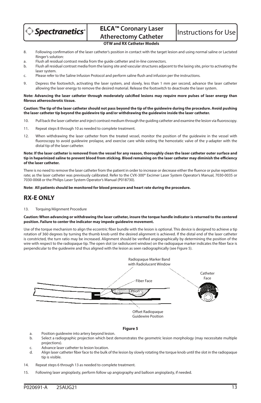

- 8. Following confirmation of the laser catheter's position in contact with the target lesion and using normal saline or Lactated Ringer's solution:
- a. Flush all residual contrast media from the guide catheter and in-line connectors.
- b. Flush all residual contrast media from the lasing site and vascular structures adjacent to the lasing site, prior to activating the laser system.
- c. Please refer to the Saline Infusion Protocol and perform saline flush and infusion per the instructions.
- 9. Depress the footswitch, activating the laser system, and slowly, less than 1 mm per second, advance the laser catheter allowing the laser energy to remove the desired material. Release the footswitch to deactivate the laser system.

#### **Note: Advancing the laser catheter through moderately calcified lesions may require more pulses of laser energy than fibrous atherosclerotic tissue.**

**Caution: The tip of the laser catheter should not pass beyond the tip of the guidewire during the procedure. Avoid pushing the laser catheter tip beyond the guidewire tip and/or withdrawing the guidewire inside the laser catheter.**

- 10. Pull back the laser catheter and inject contrast medium through the guiding catheter and examine the lesion via fluoroscopy.
- 11. Repeat steps 8 through 10 as needed to complete treatment.
- 12. When withdrawing the laser catheter from the treated vessel, monitor the position of the guidewire in the vessel with fluoroscopy to avoid guidewire prolapse, and exercise care while exiting the hemostatic valve of the y-adapter with the distal tip of the laser catheter.

#### **Note: If the laser catheter is removed from the vessel for any reason, thoroughly clean the laser catheter outer surface and tip in heparinized saline to prevent blood from sticking. Blood remaining on the laser catheter may diminish the efficiency of the laser catheter.**

There is no need to remove the laser catheter from the patient in order to increase or decrease either the fluence or pulse repetition rate; as the laser catheter was previously calibrated. Refer to the CVX-300® Excimer Laser System Operator's Manual, 7030-0035 or 7030-0068 or the Philips Laser System Operator's Manual (P018730).

#### **Note: All patients should be monitored for blood pressure and heart rate during the procedure.**

# **RX-E ONLY**

#### 13. Torquing/Alignment Procedure

#### **Caution: When advancing or withdrawing the laser catheter, insure the torque handle indicator is returned to the centered position. Failure to center the indicator may impede guidewire movement.**

Use of the torque mechanism to align the eccentric fiber bundle with the lesion is optional. This device is designed to achieve a tip rotation of 360 degrees by turning the thumb knob until the desired alignment is achieved. If the distal end of the laser catheter is constricted, the turn ratio may be increased. Alignment should be verified angiographically by determining the position of the wire with respect to the radiopaque tip. The open slot (or radiolucent window) on the radiopaque marker indicates the fiber face is perpendicular to the guidewire and thus aligned with the lesion as seen radiographically (see Figure 5).



#### **Figure 5**

- a. Position guidewire into artery beyond lesion.
- b. Select a radiographic projection which best demonstrates the geometric lesion morphology (may necessitate multiple projections).
- c. Advance laser catheter to lesion location.<br>d. Align laser catheter fiber face to the bulk
- d. Align laser catheter fiber face to the bulk of the lesion by slowly rotating the torque knob until the slot in the radiopaque tip is visible.
- 14. Repeat steps 6 through 13 as needed to complete treatment.
- 15. Following laser angioplasty, perform follow up angiography and balloon angioplasty, if needed.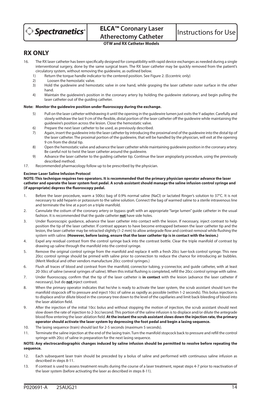

# **RX ONLY**

- 16. The RX laser catheter has been specifically designed for compatibility with rapid device exchanges as needed during a single interventional surgery, done by the same surgical team. The RX laser catheter may be quickly removed from the patient's circulatory system, without removing the guidewire, as outlined below.<br>1) Beturn the torque bandle indicator to the centered position. See E
	- 1) Return the torque handle indicator to the centered position. See Figure 2. (Eccentric only)<br>2) Loosen the hemostatic valve
	- 2) Loosen the hemostatic valve.
	- 3) Hold the guidewire and hemostatic valve in one hand, while grasping the laser catheter outer surface in the other hand.
	- 4) Maintain the guidewire's position in the coronary artery by holding the guidewire stationary, and begin pulling the laser catheter out of the guiding catheter.

# **Note: Monitor the guidewire position under fluoroscopy during the exchange.**

- 5) Pull on the laser catheter withdrawing it until the opening in the guidewire lumen just exits the Y-adapter. Carefully and slowly withdraw the last 9 cm of the flexible, distal portion of the laser catheter off the guidewire while maintaining the guidewire's position across the lesion. Close the hemostatic valve.
- 6) Prepare the next laser catheter to be used, as previously described.
- 7) Again, insert the guidewire into the laser catheter by introducing the proximal end of the guidewire into the distal tip of the laser catheter. The proximal portion of the guidewire, that will be handled by the physician, will exit at the opening 9 cm from the distal tip.
- 8) Open the hemostatic valve and advance the laser catheter while maintaining guidewire position in the coronary artery. Be careful not to twist the laser catheter around the guidewire.
- 9) Advance the laser catheter to the guiding catheter tip. Continue the laser angioplasty procedure, using the previously described method.
- 17. Recommended pharmacology follow up to be prescribed by the physician.

#### **Excimer Laser Saline Infusion Protocol**

#### **NOTE: This technique requires two operators. It is recommended that the primary physician operator advance the laser catheter and operate the laser system foot pedal. A scrub assistant should manage the saline infusion control syringe and (if appropriate) depress the fluoroscopy pedal.**

- 1. Before the laser procedure, warm a 500cc bag of 0.9% normal saline (NaCl) or lactated Ringer's solution to 37°C. It is not necessary to add heparin or potassium to the saline solution. Connect the bag of warmed saline to a sterile intravenous line and terminate the line at a port on a triple manifold.
- 2. Cannulate the ostium of the coronary artery or bypass graft with an appropriate "large lumen" guide catheter in the usual fashion. It is recommended that the guide catheter **not** have side holes.
- 3. Under fluoroscopic guidance, advance the laser catheter into contact with the lesion. If necessary, inject contrast to help position the tip of the laser catheter. If contrast appears to have become entrapped between the laser catheter tip and the lesion, the laser catheter may be retracted slightly (1-2 mm) to allow antegrade flow and contrast removal while flushing the system with saline. **(However, before lasing, ensure that the laser catheter tip is in contact with the lesion.)**
- 4. Expel any residual contrast from the control syringe back into the contrast bottle. Clear the triple manifold of contrast by drawing up saline through the manifold into the control syringe.
- 5. Remove the original control syringe from the manifold and replace it with a fresh 20cc luer-lock control syringe. This new 20cc control syringe should be primed with saline prior to connection to reduce the chance for introducing air bubbles. (Merit Medical and other vendors manufacture 20cc control syringes.)
- 6. Flush all traces of blood and contrast from the manifold, connector tubing, y-connector, and guide catheter, with at least 20-30cc of saline (several syringes of saline). When this initial flushing is completed, refill the 20cc control syringe with saline.
- 7. Under fluoroscopy, confirm that the tip of the laser catheter is **in contact** with the lesion (advance the laser catheter if necessary), but do **not** inject contrast.
- 8. When the primary operator indicates that he/she is ready to activate the laser system, the scrub assistant should turn the manifold stopcock off to pressure and inject 10cc of saline as rapidly as possible (within 1-2 seconds). This bolus injection is to displace and/or dilute blood in the coronary tree down to the level of the capillaries and limit back-bleeding of blood into the laser ablation field.
- 9. After the injection of the initial 10cc bolus and without stopping the motion of injection, the scrub assistant should next slow down the rate of injection to 2-3cc/second. This portion of the saline infusion is to displace and/or dilute the antegrade blood flow entering the laser ablation field. **At the instant the scrub assistant slows down the injection rate, the primary operator should activate the laser system by depressing the foot pedal and begin a lasing sequence.**
- 10. The lasing sequence (train) should last for 2-5 seconds (maximum 5 seconds).
- 11. Terminate the saline injection at the end of the lasing train. Turn the manifold stopcock back to pressure and refill the control syringe with 20cc of saline in preparation for the next lasing sequence.

#### **NOTE: Any electrocardiographic changes induced by saline infusion should be permitted to resolve before repeating the sequence.**

- 12. Each subsequent laser train should be preceded by a bolus of saline and performed with continuous saline infusion as described in steps 8-11.
- 13. If contrast is used to assess treatment results during the course of a laser treatment, repeat steps 4-7 prior to reactivation of the laser system (before activating the laser as described in steps 8-11).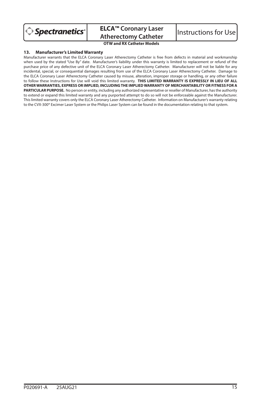

**ELCA™ Coronary Laser ELCA<sup>T</sup> Coronary Laser** | Instructions for Use<br>Atherectomy Catheter | Instructions for Use

**OTW and RX Catheter Models**

## **13. Manufacturer's Limited Warranty**

Manufacturer warrants that the ELCA Coronary Laser Atherectomy Catheter is free from defects in material and workmanship when used by the stated "Use By" date. Manufacturer's liability under this warranty is limited to replacement or refund of the purchase price of any defective unit of the ELCA Coronary Laser Atherectomy Catheter. Manufacturer will not be liable for any incidental, special, or consequential damages resulting from use of the ELCA Coronary Laser Atherectomy Catheter. Damage to the ELCA Coronary Laser Atherectomy Catheter caused by misuse, alteration, improper storage or handling, or any other failure to follow these Instructions for Use will void this limited warranty. **THIS LIMITED WARRANTY IS EXPRESSLY IN LIEU OF ALL OTHER WARRANTIES, EXPRESS OR IMPLIED, INCLUDING THE IMPLIED WARRANTY OF MERCHANTABILITY OR FITNESS FOR A PARTICULAR PURPOSE.** No person or entity, including any authorized representative or reseller of Manufacturer, has the authority to extend or expand this limited warranty and any purported attempt to do so will not be enforceable against the Manufacturer. This limited warranty covers only the ELCA Coronary Laser Atherectomy Catheter. Information on Manufacturer's warranty relating to the CVX-300® Excimer Laser System or the Philips Laser System can be found in the documentation relating to that system.